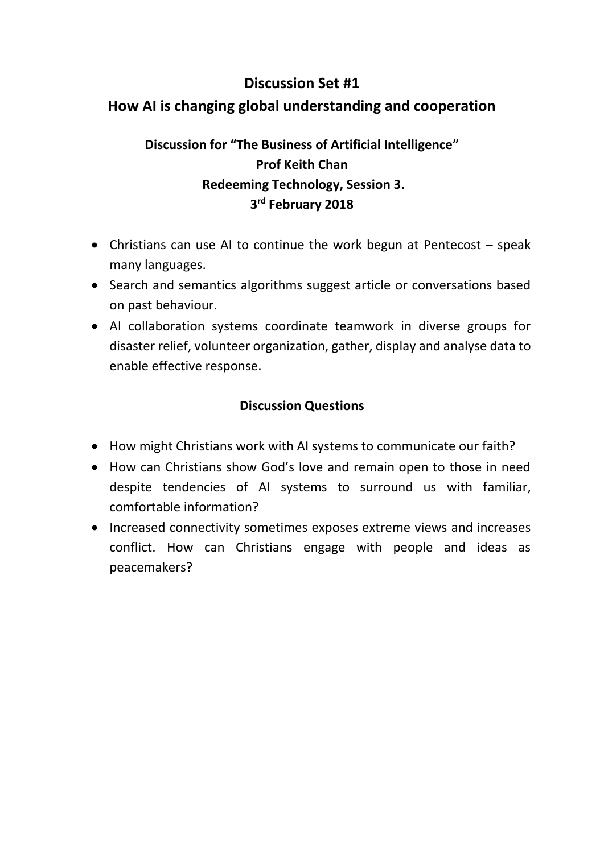#### **Discussion Set #1**

### **How AI is changing global understanding and cooperation**

## **Discussion for "The Business of Artificial Intelligence" Prof Keith Chan Redeeming Technology, Session 3. 3 rd February 2018**

- Christians can use AI to continue the work begun at Pentecost speak many languages.
- Search and semantics algorithms suggest article or conversations based on past behaviour.
- AI collaboration systems coordinate teamwork in diverse groups for disaster relief, volunteer organization, gather, display and analyse data to enable effective response.

- How might Christians work with AI systems to communicate our faith?
- How can Christians show God's love and remain open to those in need despite tendencies of AI systems to surround us with familiar, comfortable information?
- Increased connectivity sometimes exposes extreme views and increases conflict. How can Christians engage with people and ideas as peacemakers?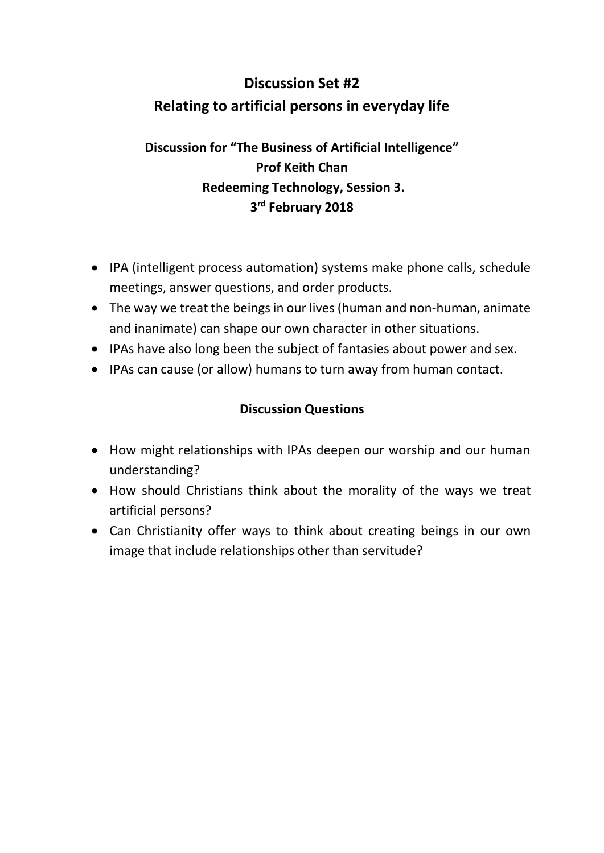## **Discussion Set #2 Relating to artificial persons in everyday life**

## **Discussion for "The Business of Artificial Intelligence" Prof Keith Chan Redeeming Technology, Session 3. 3 rd February 2018**

- IPA (intelligent process automation) systems make phone calls, schedule meetings, answer questions, and order products.
- The way we treat the beings in our lives (human and non-human, animate and inanimate) can shape our own character in other situations.
- IPAs have also long been the subject of fantasies about power and sex.
- IPAs can cause (or allow) humans to turn away from human contact.

- How might relationships with IPAs deepen our worship and our human understanding?
- How should Christians think about the morality of the ways we treat artificial persons?
- Can Christianity offer ways to think about creating beings in our own image that include relationships other than servitude?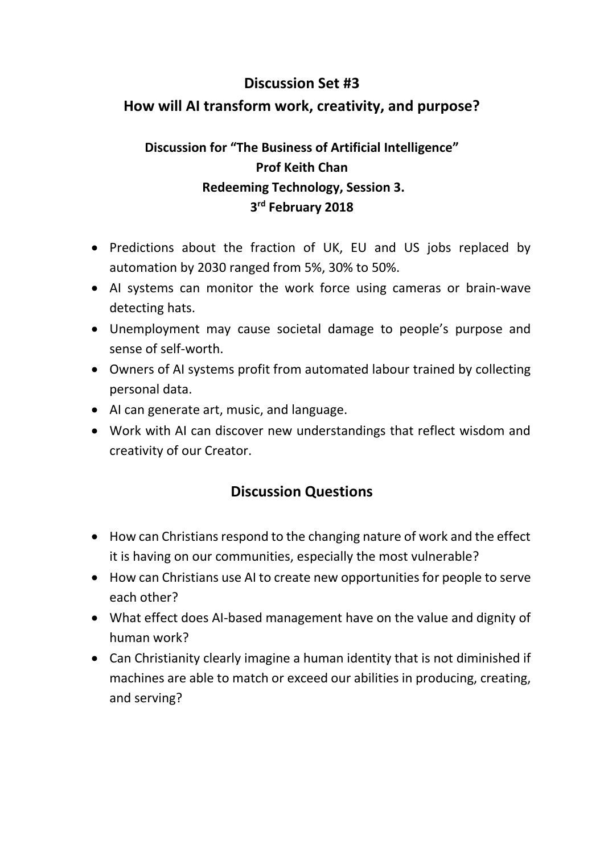# **Discussion Set #3 How will AI transform work, creativity, and purpose?**

## **Discussion for "The Business of Artificial Intelligence" Prof Keith Chan Redeeming Technology, Session 3. 3 rd February 2018**

- Predictions about the fraction of UK, EU and US jobs replaced by automation by 2030 ranged from 5%, 30% to 50%.
- AI systems can monitor the work force using cameras or brain-wave detecting hats.
- Unemployment may cause societal damage to people's purpose and sense of self-worth.
- Owners of AI systems profit from automated labour trained by collecting personal data.
- AI can generate art, music, and language.
- Work with AI can discover new understandings that reflect wisdom and creativity of our Creator.

- How can Christians respond to the changing nature of work and the effect it is having on our communities, especially the most vulnerable?
- How can Christians use AI to create new opportunities for people to serve each other?
- What effect does AI-based management have on the value and dignity of human work?
- Can Christianity clearly imagine a human identity that is not diminished if machines are able to match or exceed our abilities in producing, creating, and serving?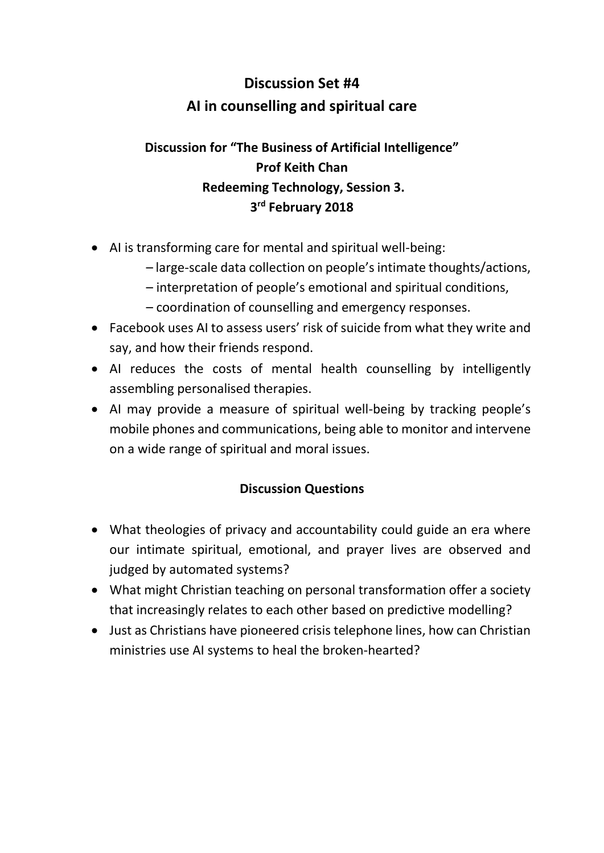## **Discussion Set #4 AI in counselling and spiritual care**

## **Discussion for "The Business of Artificial Intelligence" Prof Keith Chan Redeeming Technology, Session 3. 3 rd February 2018**

- AI is transforming care for mental and spiritual well-being:
	- large-scale data collection on people's intimate thoughts/actions,
	- interpretation of people's emotional and spiritual conditions,
	- coordination of counselling and emergency responses.
- Facebook uses AI to assess users' risk of suicide from what they write and say, and how their friends respond.
- AI reduces the costs of mental health counselling by intelligently assembling personalised therapies.
- AI may provide a measure of spiritual well-being by tracking people's mobile phones and communications, being able to monitor and intervene on a wide range of spiritual and moral issues.

- What theologies of privacy and accountability could guide an era where our intimate spiritual, emotional, and prayer lives are observed and judged by automated systems?
- What might Christian teaching on personal transformation offer a society that increasingly relates to each other based on predictive modelling?
- Just as Christians have pioneered crisis telephone lines, how can Christian ministries use AI systems to heal the broken-hearted?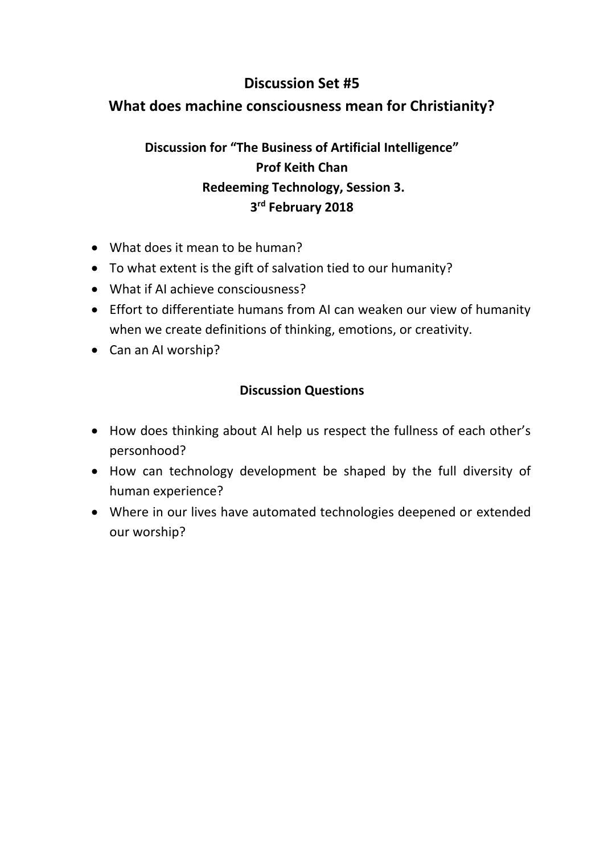#### **Discussion Set #5**

### **What does machine consciousness mean for Christianity?**

## **Discussion for "The Business of Artificial Intelligence" Prof Keith Chan Redeeming Technology, Session 3. 3 rd February 2018**

- What does it mean to be human?
- To what extent is the gift of salvation tied to our humanity?
- What if AI achieve consciousness?
- Effort to differentiate humans from AI can weaken our view of humanity when we create definitions of thinking, emotions, or creativity.
- Can an AI worship?

- How does thinking about AI help us respect the fullness of each other's personhood?
- How can technology development be shaped by the full diversity of human experience?
- Where in our lives have automated technologies deepened or extended our worship?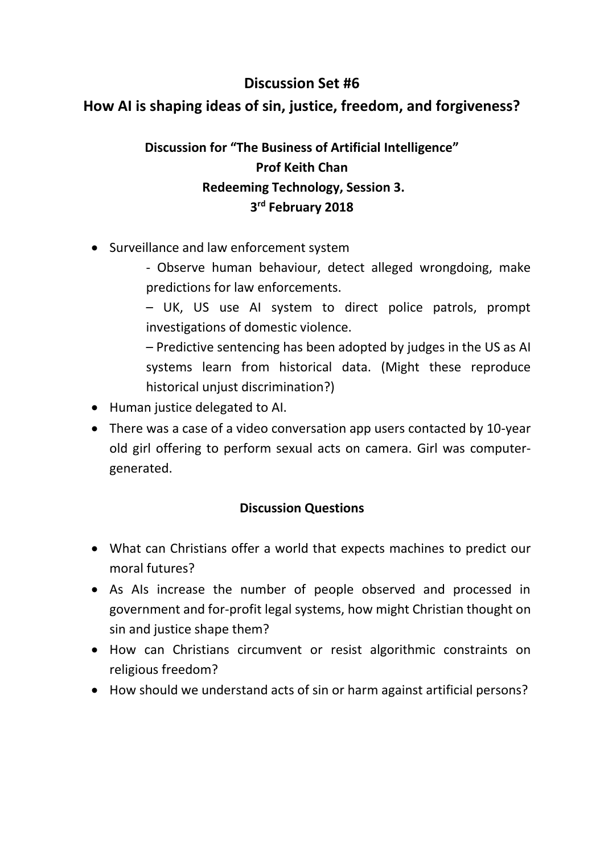#### **Discussion Set #6**

#### **How AI is shaping ideas of sin, justice, freedom, and forgiveness?**

## **Discussion for "The Business of Artificial Intelligence" Prof Keith Chan Redeeming Technology, Session 3. 3 rd February 2018**

- Surveillance and law enforcement system
	- Observe human behaviour, detect alleged wrongdoing, make predictions for law enforcements.
	- UK, US use AI system to direct police patrols, prompt investigations of domestic violence.
	- Predictive sentencing has been adopted by judges in the US as AI systems learn from historical data. (Might these reproduce historical unjust discrimination?)
- Human justice delegated to AI.
- There was a case of a video conversation app users contacted by 10-year old girl offering to perform sexual acts on camera. Girl was computergenerated.

- What can Christians offer a world that expects machines to predict our moral futures?
- As AIs increase the number of people observed and processed in government and for-profit legal systems, how might Christian thought on sin and justice shape them?
- How can Christians circumvent or resist algorithmic constraints on religious freedom?
- How should we understand acts of sin or harm against artificial persons?